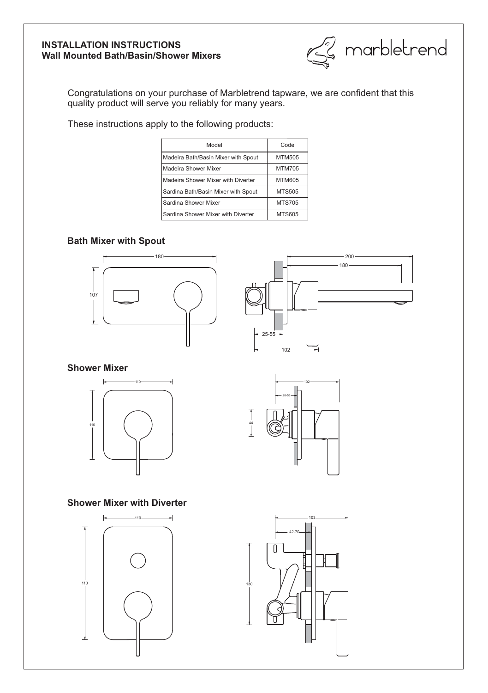## **INSTALLATION INSTRUCTIONS Wall Mounted Bath/Basin/Shower Mixers**



Congratulations on your purchase of Marbletrend tapware, we are confident that this quality product will serve you reliably for many years.

These instructions apply to the following products:

| Model                               | Code          |
|-------------------------------------|---------------|
| Madeira Bath/Basin Mixer with Spout | MTM505        |
| Madeira Shower Mixer                | <b>MTM705</b> |
| Madeira Shower Mixer with Diverter  | MTM605        |
| Sardina Bath/Basin Mixer with Spout | <b>MTS505</b> |
| Sardina Shower Mixer                | <b>MTS705</b> |
| Sardina Shower Mixer with Diverter  | <b>MTS605</b> |

# **Bath Mixer with Spout**





**Shower Mixer**





# **Shower Mixer with Diverter**